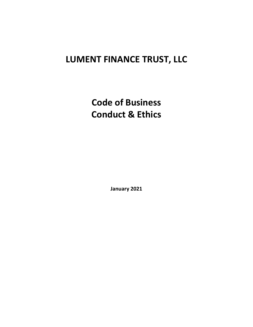# **LUMENT FINANCE TRUST, LLC**

**Code of Business Conduct & Ethics** 

**January 2021**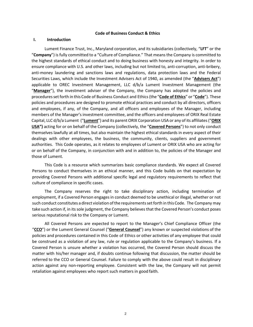#### **Code of Business Conduct & Ethics**

#### **I. Introduction**

Lument Finance Trust, Inc., Maryland corporation, and its subsidiaries (collectively, "**LFT**" or the "**Company**") is fully committed to a "Culture of Compliance." That means the Company is committed to the highest standards of ethical conduct and to doing business with honesty and integrity. In order to ensure compliance with U.S. and other laws, including but not limited to, anti-corruption, anti-bribery, anti-money laundering and sanctions laws and regulations, data protection laws and the Federal Securities Laws, which include the Investment Advisers Act of 1940, as amended (the "**Advisers Act**") applicable to OREC Investment Management, LLC d/b/a Lument Investment Management (the "**Manager**"), the investment adviser of the Company, the Company has adopted the policies and proceduressetforth in this Code of Business Conduct and Ethics (the "**Code of Ethics**" or "**Code**"). These policies and procedures are designed to promote ethical practices and conduct by all directors, officers and employees, if any, of the Company, and all officers and employees of the Manager, including members of the Manager's investment committee, and the officers and employees of ORIX Real Estate Capital, LLC d/b/a Lument ("**Lument**") and its parent ORIX Corporation USA or any of its affiliates("**ORIX USA")** acting for or on behalf of the Company (collectively, the "**Covered Persons**") to not only conduct themselves lawfully at all times, but also maintain the highest ethical standards in every aspect of their dealings with other employees, the business, the community, clients, suppliers and government authorities. This Code operates, as it relates to employees of Lument or ORIX USA who are acting for or on behalf of the Company, in conjunction with and in addition to, the policies of the Manager and those of Lument.

This Code is a resource which summarizes basic compliance standards. We expect all Covered Persons to conduct themselves in an ethical manner, and this Code builds on that expectation by providing Covered Persons with additional specific legal and regulatory requirements to reflect that culture of compliance in specific cases.

The Company reserves the right to take disciplinary action, including termination of employment, if a Covered Person engages in conduct deemed to be unethical or illegal, whether or not such conduct constitutes a direct violation ofthe requirementssetforth in this Code. The Company may take such action if, in its sole judgment, the Company believes that the Covered Person's conduct poses serious reputational risk to the Company or Lument.

All Covered Persons are expected to report to the Manager's Chief Compliance Officer (the "**CCO**") or the Lument General Counsel ("**General Counsel**") any known or suspected violations of the policies and procedures contained in this Code of Ethics or other activities of any employee that could be construed as a violation of any law, rule or regulation applicable to the Company's business. If a Covered Person is unsure whether a violation has occurred, the Covered Person should discuss the matter with his/her manager and, if doubts continue following that discussion, the matter should be referred to the CCO or General Counsel. Failure to comply with the above could result in disciplinary action against any non-reporting employee. Consistent with the law, the Company will not permit retaliation against employees who report such matters in good faith.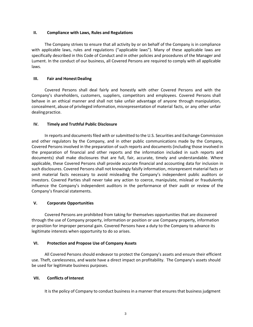### **II. Compliance with Laws, Rules and Regulations**

The Company strives to ensure that all activity by or on behalf of the Company is in compliance with applicable laws, rules and regulations ("applicable laws"). Many of these applicable laws are specifically described in this Code of Conduct and in other policies and procedures of the Manager and Lument. In the conduct of our business, all Covered Persons are required to comply with all applicable laws.

## **III. Fair and HonestDealing**

Covered Persons shall deal fairly and honestly with other Covered Persons and with the Company's shareholders, customers, suppliers, competitors and employees. Covered Persons shall behave in an ethical manner and shall not take unfair advantage of anyone through manipulation, concealment, abuse of privileged information, misrepresentation of material facts, or any other unfair dealing practice.

## **IV. Timely and Truthful Public Disclosure**

In reports and documents filed with or submitted to the U.S. Securities and Exchange Commission and other regulators by the Company, and in other public communications made by the Company, Covered Persons involved in the preparation of such reports and documents (including those involved in the preparation of financial and other reports and the information included in such reports and documents) shall make disclosures that are full, fair, accurate, timely and understandable. Where applicable, these Covered Persons shall provide accurate financial and accounting data for inclusion in such disclosures. Covered Persons shall not knowingly falsify information, misrepresent material facts or omit material facts necessary to avoid misleading the Company's independent public auditors or investors. Covered Parties shall never take any action to coerce, manipulate, mislead or fraudulently influence the Company's independent auditors in the performance of their audit or review of the Company's financial statements.

# **V. Corporate Opportunities**

Covered Persons are prohibited from taking for themselves opportunities that are discovered through the use of Company property, information or position or use Company property, information or position for improper personal gain. Covered Persons have a duty to the Company to advance its legitimate interests when opportunity to do so arises.

### **VI. Protection and Propose Use of Company Assets**

All Covered Persons should endeavor to protect the Company's assets and ensure their efficient use. Theft, carelessness, and waste have a direct impact on profitability. The Company's assets should be used for legitimate business purposes.

# **VII.** Conflicts of Interest

It is the policy of Company to conduct business in a manner that ensures that business judgment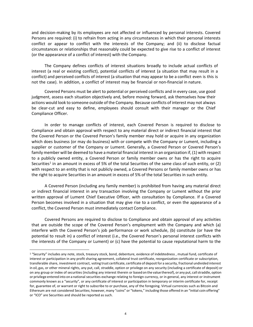and decision-making by its employees are not affected or influenced by personal interests. Covered Persons are required: (i) to refrain from acting in any circumstances in which their personal interests conflict or appear to conflict with the interests of the Company; and (ii) to disclose factual circumstances or relationships that reasonably could be expected to give rise to a conflict of interest (or the appearance of a conflict of interest) with the Company.

The Company defines conflicts of interest situations broadly to include actual conflicts of interest (a real or existing conflict), potential conflicts of interest (a situation that may result in a conflict) and perceived conflicts of interest (a situation that may appear to be a conflict even is this is not the case). In addition, a conflict of interest may be financial or non-financial in nature.

Covered Persons must be alert to potential or perceived conflicts and in every case, use good judgment, assess each situation objectively and, before moving forward, ask themselves how their actions would look to someone outside of the Company. Because conflicts of interest may not always be clear-cut and easy to define, employees should consult with their manager or the Chief Compliance Officer.

In order to manage conflicts of interest, each Covered Person is required to disclose to Compliance and obtain approval with respect to any material direct or indirect financial interest that the Covered Person or the Covered Person's family member may hold or acquire in any organization which does business (or may do business) with or compete with the Company or Lument, including a supplier or customer of the Company or Lument. Generally, a Covered Person or Covered Person's family member will be deemed to have a material financial interest in an organization if, (1) with respect to a publicly owned entity, a Covered Person or family member owns or has the right to acquire Securities<sup>[1](#page-3-0)</sup> in an amount in excess of 5% of the total Securities of the same class of such entity, or  $(2)$ with respect to an entity that is not publicly owned, a Covered Persons or family member owns or has the right to acquire Securities in an amount in excess of 5% of the total Securities in such entity.

A Covered Person (including any family member) is prohibited from having any material direct or indirect financial interest in any transaction involving the Company or Lument without the prior written approval of Lument Chief Executive Officer, with consultation by Compliance. If a Covered Person becomes involved in a situation that may give rise to a conflict, or even the appearance of a conflict, the Covered Person must immediately contact Compliance.

Covered Persons are required to disclose to Compliance and obtain approval of any activities that are outside the scope of the Covered Person's employment with the Company and which (a) interfere with the Covered Person's job performance or work schedule, (b) constitute (or have the potential to result in) a conflict of interest (i.e., the Covered Person's personal interest conflicts with the interests of the Company or Lument) or (c) have the potential to cause reputational harm to the

<span id="page-3-0"></span><sup>&</sup>lt;sup>1</sup> "Security" includes any note, stock, treasury stock, bond, debenture, evidence of indebtedness, mutual fund, certificate of interest or participation in any profit sharing agreement, collateral trust certificate, reorganization certificate or subscription, transferable share, investment contract, voting trust certificate, certificate of deposit for a security, fractional undivided interest in oil, gas, or other mineral rights, any put, call, straddle, option or privilege on any security (including a certificate of deposit) or on any group or index of securities (including any interest therein or based on the value thereof), or any put, callstraddle, option or privilege entered into on a national securities exchange relating to foreign currency, or in general, any interest or instrument commonly known as a "security", or any certificate of interest or participation in temporary or interim certificate for, receipt for, guarantee of, or warrant or right to subscribe to or purchase, any of the foregoing. Virtual currencies such as Bitcoin and Ethereum are not considered Securities; however, many "coins" or "tokens," including those offered in an "initial coin offering" or "ICO" are Securities and should be reported as such.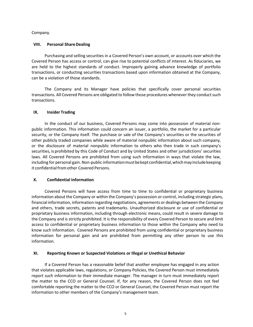Company.

#### **VIII. Personal ShareDealing**

Purchasing and selling securities in a Covered Person's own account, or accounts over which the Covered Person has access or control, can give rise to potential conflicts of interest. As fiduciaries, we are held to the highest standards of conduct. Improperly gaining advance knowledge of portfolio transactions, or conducting securities transactions based upon information obtained at the Company, can be a violation of those standards.

The Company and its Manager have policies that specifically cover personal securities transactions. All Covered Persons are obligated to follow those procedures whenever they conduct such transactions.

#### **IX. Insider Trading**

In the conduct of our business, Covered Persons may come into possession of material nonpublic information. This information could concern an issuer, a portfolio, the market for a particular security, or the Company itself. The purchase or sale of the Company's securities or the securities of other publicly traded companies while aware of material nonpublic information about such company, or the disclosure of material nonpublic information to others who then trade in such company's securities, is prohibited by this Code of Conduct and by United States and other jurisdictions' securities laws. All Covered Persons are prohibited from using such information in ways that violate the law, including for personal gain. Non-public informationmustbekept confidential,whichmayincludekeeping it confidential from other Covered Persons.

### **X. Confidential Information**

Covered Persons will have access from time to time to confidential or proprietary business information about the Company or within the Company's possession or control, including strategic plans, financial information, information regarding negotiations, agreements or dealings between the Company and others, trade secrets, patents and trademarks. Unauthorized disclosure or use of confidential or proprietary business information, including through electronic means, could result in severe damage to the Company and is strictly prohibited. It is the responsibility of every Covered Person to secure and limit access to confidential or proprietary business information to those within the Company who need to know such information. Covered Persons are prohibited from using confidential or proprietary business information for personal gain and are prohibited from permitting any other person to use this information.

### **XI. Reporting Known or Suspected Violations or Illegal or Unethical Behavior**

If a Covered Person has a reasonable belief that another employee has engaged in any action that violates applicable laws, regulations, or Company Policies, the Covered Person must immediately report such information to their immediate manager. The manager in turn must immediately report the matter to the CCO or General Counsel. If, for any reason, the Covered Person does not feel comfortable reporting the matter to the CCO or General Counsel, the Covered Person must report the information to other members of the Company's management team.